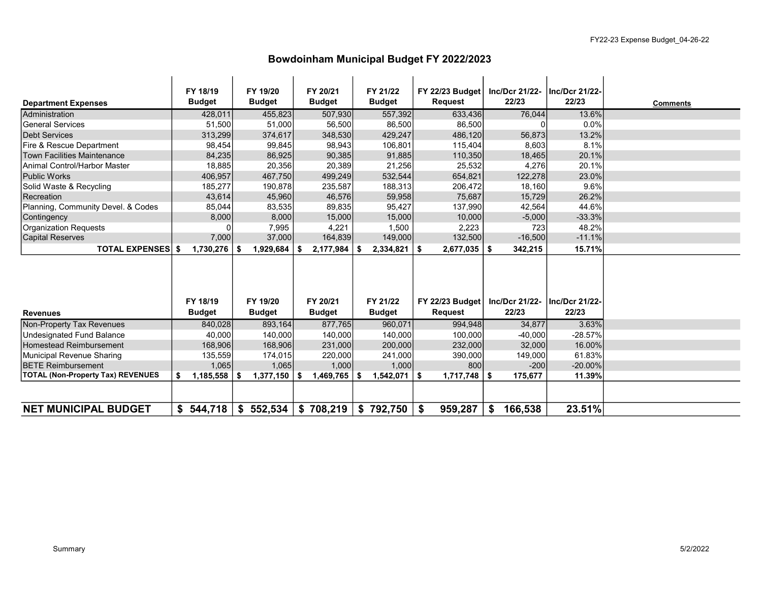### Bowdoinham Municipal Budget FY 2022/2023

|                                          | FY 18/19         | FY 19/20         | FY 20/21        | FY 21/22          | FY 22/23 Budget | Inc/Dcr 21/22- | Inc/Dcr 21/22- |                 |
|------------------------------------------|------------------|------------------|-----------------|-------------------|-----------------|----------------|----------------|-----------------|
| <b>Department Expenses</b>               | <b>Budget</b>    | <b>Budget</b>    | <b>Budget</b>   | <b>Budget</b>     | <b>Request</b>  | 22/23          | 22/23          | <b>Comments</b> |
| Administration                           | 428,011          | 455,823          | 507,930         | 557,392           | 633,436         | 76,044         | 13.6%          |                 |
| <b>General Services</b>                  | 51,500           | 51,000           | 56,500          | 86,500            | 86,500          |                | 0.0%           |                 |
| Debt Services                            | 313,299          | 374,617          | 348,530         | 429,247           | 486,120         | 56,873         | 13.2%          |                 |
| Fire & Rescue Department                 | 98,454           | 99,845           | 98,943          | 106,801           | 115,404         | 8,603          | 8.1%           |                 |
| <b>Town Facilities Maintenance</b>       | 84,235           | 86,925           | 90,385          | 91,885            | 110,350         | 18,465         | 20.1%          |                 |
| Animal Control/Harbor Master             | 18,885           | 20,356           | 20,389          | 21,256            | 25,532          | 4,276          | 20.1%          |                 |
| Public Works                             | 406,957          | 467,750          | 499,249         | 532,544           | 654,821         | 122,278        | 23.0%          |                 |
| Solid Waste & Recycling                  | 185,277          | 190,878          | 235,587         | 188,313           | 206,472         | 18,160         | 9.6%           |                 |
| Recreation                               | 43,614           | 45,960           | 46,576          | 59,958            | 75,687          | 15,729         | 26.2%          |                 |
| Planning, Community Devel. & Codes       | 85,044           | 83,535           | 89,835          | 95,427            | 137,990         | 42,564         | 44.6%          |                 |
| Contingency                              | 8,000            | 8,000            | 15,000          | 15,000            | 10,000          | $-5,000$       | $-33.3%$       |                 |
| Organization Requests                    |                  | 7,995            | 4,221           | 1,500             | 2,223           | 723            | 48.2%          |                 |
| Capital Reserves                         | 7,000            | 37,000           | 164,839         | 149,000           | 132,500         | $-16,500$      | $-11.1%$       |                 |
| <b>TOTAL EXPENSES</b> \$                 | $1,730,276$   \$ | 1,929,684        | \$<br>2,177,984 | 2,334,821<br>∣\$. | 2,677,035<br>\$ | 342,215<br>\$  | 15.71%         |                 |
|                                          |                  |                  |                 |                   |                 |                |                |                 |
|                                          |                  |                  |                 |                   |                 |                |                |                 |
|                                          |                  |                  |                 |                   |                 |                |                |                 |
|                                          |                  |                  |                 |                   |                 |                |                |                 |
|                                          | FY 18/19         | FY 19/20         | FY 20/21        | FY 21/22          | FY 22/23 Budget | Inc/Dcr 21/22- | Inc/Dcr 21/22- |                 |
| <b>Revenues</b>                          | <b>Budget</b>    | <b>Budget</b>    | <b>Budget</b>   | <b>Budget</b>     | <b>Request</b>  | 22/23          | 22/23          |                 |
| Non-Property Tax Revenues                | 840.028          | 893,164          | 877,765         | 960.071           | 994.948         | 34,877         | 3.63%          |                 |
| Undesignated Fund Balance                | 40,000           | 140,000          | 140,000         | 140,000           | 100,000         | $-40,000$      | $-28.57%$      |                 |
| Homestead Reimbursement                  | 168,906          | 168,906          | 231,000         | 200,000           | 232,000         | 32,000         | 16.00%         |                 |
| Municipal Revenue Sharing                | 135,559          | 174,015          | 220,000         | 241,000           | 390,000         | 149,000        | 61.83%         |                 |
| <b>BETE Reimbursement</b>                | 1,065            | 1,065            | 1,000           | 1,000             | 800             | $-200$         | $-20.00\%$     |                 |
| <b>TOTAL (Non-Property Tax) REVENUES</b> | \$<br>1,185,558  | 1,377,150<br>-\$ | \$<br>1,469,765 | l \$<br>1,542,071 | \$<br>1,717,748 | 175,677<br>S.  | 11.39%         |                 |
|                                          |                  |                  |                 |                   |                 |                |                |                 |
|                                          |                  |                  |                 |                   |                 |                |                |                 |
| <b>NET MUNICIPAL BUDGET</b>              | 544,718<br>\$    | \$552,534        | \$<br>708,219   | \$<br>792,750     | 959,287<br>\$   | \$<br>166,538  | 23.51%         |                 |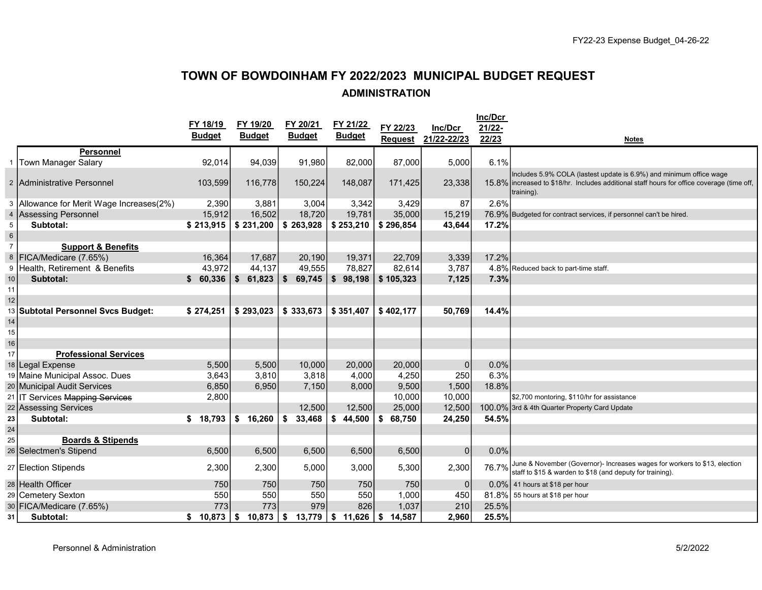# TOWN OF BOWDOINHAM FY 2022/2023 MUNICIPAL BUDGET REQUEST ADMINISTRATION

|                   |                                          | FY 18/19      | FY 19/20                | FY 20/21      | FY 21/22               | FY 22/23       | Inc/Dcr        | Inc/Dcr<br>21/22- |                                                                                                                                                                                  |
|-------------------|------------------------------------------|---------------|-------------------------|---------------|------------------------|----------------|----------------|-------------------|----------------------------------------------------------------------------------------------------------------------------------------------------------------------------------|
|                   |                                          | <b>Budget</b> | <b>Budget</b>           | <b>Budget</b> | <b>Budget</b>          | <b>Request</b> | 21/22-22/23    | 22/23             | <b>Notes</b>                                                                                                                                                                     |
|                   | <b>Personnel</b>                         |               |                         |               |                        |                |                |                   |                                                                                                                                                                                  |
|                   | 1 Town Manager Salary                    | 92,014        | 94,039                  | 91,980        | 82,000                 | 87,000         | 5,000          | 6.1%              |                                                                                                                                                                                  |
|                   | 2 Administrative Personnel               | 103,599       | 116,778                 | 150,224       | 148,087                | 171,425        | 23,338         |                   | Includes 5.9% COLA (lastest update is 6.9%) and minimum office wage<br>15.8% lincreased to \$18/hr. Includes additional staff hours for office coverage (time off,<br>training). |
|                   | 3 Allowance for Merit Wage Increases(2%) | 2,390         | 3,881                   | 3,004         | 3,342                  | 3,429          | 87             | 2.6%              |                                                                                                                                                                                  |
|                   | 4 Assessing Personnel                    | 15,912        | 16,502                  | 18,720        | 19,781                 | 35,000         | 15,219         |                   | 76.9% Budgeted for contract services, if personnel can't be hired.                                                                                                               |
| 5                 | Subtotal:                                | \$213,915     | \$231,200               | \$263,928     | \$253,210              | \$296,854      | 43,644         | 17.2%             |                                                                                                                                                                                  |
| $6\overline{6}$   |                                          |               |                         |               |                        |                |                |                   |                                                                                                                                                                                  |
| $\overline{7}$    | <b>Support &amp; Benefits</b>            |               |                         |               |                        |                |                |                   |                                                                                                                                                                                  |
|                   | 8   FICA/Medicare (7.65%)                | 16,364        | 17,687                  | 20,190        | 19,371                 | 22,709         | 3,339          | 17.2%             |                                                                                                                                                                                  |
|                   | 9 Health, Retirement & Benefits          | 43,972        | 44,137                  | 49,555        | 78,827                 | 82,614         | 3,787          |                   | 4.8% Reduced back to part-time staff.                                                                                                                                            |
| 10 <sup>1</sup>   | Subtotal:                                | \$60,336      | \$<br>61,823            | 69,745<br>\$  | $\mathbf{s}$<br>98,198 | \$105,323      | 7,125          | 7.3%              |                                                                                                                                                                                  |
| 11                |                                          |               |                         |               |                        |                |                |                   |                                                                                                                                                                                  |
| $12 \overline{ }$ |                                          |               |                         |               |                        |                |                |                   |                                                                                                                                                                                  |
| 13                | <b>Subtotal Personnel Svcs Budget:</b>   | \$274,251     | \$293,023               | \$333,673     | \$351,407              | \$402,177      | 50,769         | 14.4%             |                                                                                                                                                                                  |
| 14                |                                          |               |                         |               |                        |                |                |                   |                                                                                                                                                                                  |
| 15                |                                          |               |                         |               |                        |                |                |                   |                                                                                                                                                                                  |
| 16                |                                          |               |                         |               |                        |                |                |                   |                                                                                                                                                                                  |
| 17                | <b>Professional Services</b>             |               |                         |               |                        |                |                |                   |                                                                                                                                                                                  |
|                   | 18 Legal Expense                         | 5,500         | 5,500                   | 10,000        | 20,000                 | 20,000         | $\mathbf{0}$   | 0.0%              |                                                                                                                                                                                  |
|                   | 19 Maine Municipal Assoc. Dues           | 3,643         | 3,810                   | 3,818         | 4,000                  | 4,250          | 250            | 6.3%              |                                                                                                                                                                                  |
|                   | 20 Municipal Audit Services              | 6,850         | 6,950                   | 7,150         | 8,000                  | 9,500          | 1,500          | 18.8%             |                                                                                                                                                                                  |
|                   | 21 IT Services Mapping Services          | 2,800         |                         |               |                        | 10.000         | 10,000         |                   | \$2,700 montoring, \$110/hr for assistance                                                                                                                                       |
|                   | 22 Assessing Services                    |               |                         | 12,500        | 12,500                 | 25,000         | 12,500         |                   | 100.0% 3rd & 4th Quarter Property Card Update                                                                                                                                    |
| 23                | Subtotal:                                | \$18,793      | $\mathbf{\$}$<br>16,260 | \$<br>33,468  | \$<br>44,500           | \$<br>68,750   | 24,250         | 54.5%             |                                                                                                                                                                                  |
| 24                |                                          |               |                         |               |                        |                |                |                   |                                                                                                                                                                                  |
| 25                | <b>Boards &amp; Stipends</b>             |               |                         |               |                        |                |                |                   |                                                                                                                                                                                  |
|                   | 26 Selectmen's Stipend                   | 6,500         | 6,500                   | 6,500         | 6,500                  | 6,500          | $\overline{0}$ | 0.0%              |                                                                                                                                                                                  |
|                   | 27 Election Stipends                     | 2,300         | 2,300                   | 5,000         | 3,000                  | 5,300          | 2,300          | 76.7%             | June & November (Governor)- Increases wages for workers to \$13, election<br>staff to \$15 & warden to \$18 (and deputy for training).                                           |
|                   | 28 Health Officer                        | 750           | 750                     | 750           | 750                    | 750            | $\mathbf{0}$   |                   | $0.0\%$ 41 hours at \$18 per hour                                                                                                                                                |
|                   | 29 Cemetery Sexton                       | 550           | 550                     | 550           | 550                    | 1,000          | 450            | 81.8%             | 55 hours at \$18 per hour                                                                                                                                                        |
|                   | 30 FICA/Medicare (7.65%)                 | 773           | 773                     | 979           | 826                    | 1,037          | 210            | 25.5%             |                                                                                                                                                                                  |
| 31                | Subtotal:                                | \$10,873      | 10,873<br>\$            | 13,779<br>\$  | \$11,626               | -\$<br>14,587  | 2,960          | 25.5%             |                                                                                                                                                                                  |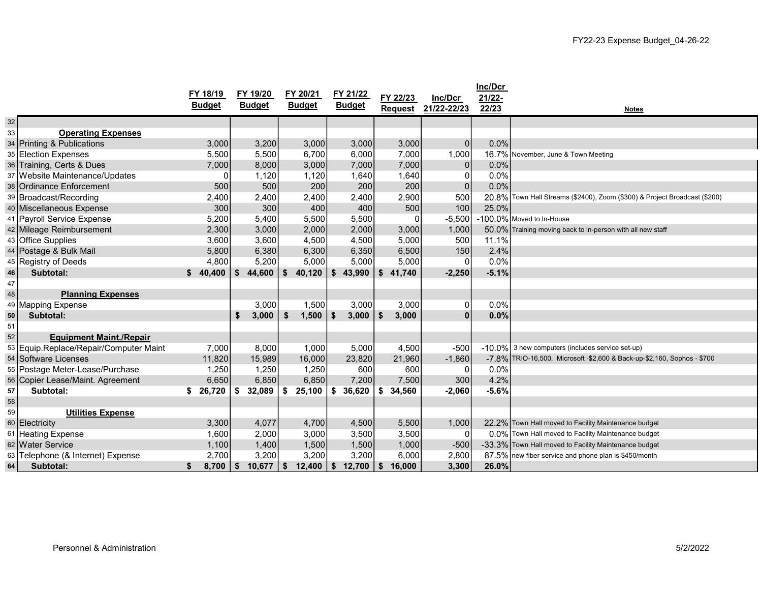|    |                                        | FY 18/19      |    | FY 19/20      |     | FY 20/21      |     | FY 21/22      |      | FY 22/23       | Inc/Dcr        | Inc/Dcr         |                                                                            |
|----|----------------------------------------|---------------|----|---------------|-----|---------------|-----|---------------|------|----------------|----------------|-----------------|----------------------------------------------------------------------------|
|    |                                        | <b>Budget</b> |    | <b>Budget</b> |     | <b>Budget</b> |     | <b>Budget</b> |      | <b>Request</b> | 21/22-22/23    | 21/22-<br>22/23 | <b>Notes</b>                                                               |
| 32 |                                        |               |    |               |     |               |     |               |      |                |                |                 |                                                                            |
| 33 | <b>Operating Expenses</b>              |               |    |               |     |               |     |               |      |                |                |                 |                                                                            |
|    | 34 Printing & Publications             | 3,000         |    | 3,200         |     | 3,000         |     | 3,000         |      | 3,000          | $\overline{0}$ | 0.0%            |                                                                            |
|    | 35 Election Expenses                   | 5,500         |    | 5,500         |     | 6,700         |     | 6,000         |      | 7,000          | 1,000          |                 | 16.7% November, June & Town Meeting                                        |
|    | 36 Training, Certs & Dues              | 7,000         |    | 8,000         |     | 3,000         |     | 7,000         |      | 7,000          | 0              | 0.0%            |                                                                            |
|    | 37 Website Maintenance/Updates         | O             |    | 1,120         |     | 1,120         |     | 1,640         |      | 1,640          | 0              | 0.0%            |                                                                            |
|    | 38 Ordinance Enforcement               | 500           |    | 500           |     | 200           |     | 200           |      | 200            | $\overline{0}$ | 0.0%            |                                                                            |
|    | 39 Broadcast/Recording                 | 2,400         |    | 2,400         |     | 2,400         |     | 2,400         |      | 2,900          | 500            |                 | 20.8% Town Hall Streams (\$2400), Zoom (\$300) & Project Broadcast (\$200) |
|    | 40 Miscellaneous Expense               | 300           |    | 300           |     | 400           |     | 400           |      | 500            | 100            | 25.0%           |                                                                            |
|    | 41 Payroll Service Expense             | 5,200         |    | 5,400         |     | 5,500         |     | 5,500         |      | 0              | $-5,500$       |                 | -100.0% Moved to In-House                                                  |
|    | 42 Mileage Reimbursement               | 2,300         |    | 3,000         |     | 2,000         |     | 2,000         |      | 3,000          | 1,000          |                 | 50.0% Training moving back to in-person with all new staff                 |
|    | 43 Office Supplies                     | 3,600         |    | 3,600         |     | 4,500         |     | 4,500         |      | 5,000          | 500            | 11.1%           |                                                                            |
|    | 44 Postage & Bulk Mail                 | 5,800         |    | 6,380         |     | 6,300         |     | 6,350         |      | 6,500          | 150            | 2.4%            |                                                                            |
|    | 45 Registry of Deeds                   | 4,800         |    | 5,200         |     | 5,000         |     | 5,000         |      | 5,000          | 0              | 0.0%            |                                                                            |
| 46 | Subtotal:                              | \$<br>40,400  | S  | 44,600        | \$  | 40,120        | Ŝ.  | 43,990        | Ŝ.   | 41,740         | $-2,250$       | $-5.1%$         |                                                                            |
| 47 |                                        |               |    |               |     |               |     |               |      |                |                |                 |                                                                            |
| 48 | <b>Planning Expenses</b>               |               |    |               |     |               |     |               |      |                |                |                 |                                                                            |
|    | 49 Mapping Expense                     |               |    | 3,000         |     | 1,500         |     | 3,000         |      | 3,000          | 0              | 0.0%            |                                                                            |
| 50 | Subtotal:                              |               | \$ | 3,000         | \$  | 1,500         | \$. | 3,000         | - \$ | 3,000          | $\Omega$       | 0.0%            |                                                                            |
| 51 |                                        |               |    |               |     |               |     |               |      |                |                |                 |                                                                            |
| 52 | <b>Equipment Maint./Repair</b>         |               |    |               |     |               |     |               |      |                |                |                 |                                                                            |
|    | 53 Equip.Replace/Repair/Computer Maint | 7,000         |    | 8,000         |     | 1,000         |     | 5,000         |      | 4,500          | $-500$         |                 | $-10.0\%$ 3 new computers (includes service set-up)                        |
|    | 54 Software Licenses                   | 11,820        |    | 15,989        |     | 16,000        |     | 23,820        |      | 21,960         | $-1,860$       |                 | -7.8% TRIO-16,500, Microsoft -\$2,600 & Back-up-\$2,160, Sophos - \$700    |
|    | 55   Postage Meter-Lease/Purchase      | 1,250         |    | 1,250         |     | 1,250         |     | 600           |      | 600            | 0              | 0.0%            |                                                                            |
|    | 56 Copier Lease/Maint. Agreement       | 6,650         |    | 6,850         |     | 6,850         |     | 7,200         |      | 7,500          | 300            | 4.2%            |                                                                            |
| 57 | Subtotal:                              | \$26,720      | \$ | 32,089        | \$  | 25,100        | \$  | 36,620        | S.   | 34,560         | $-2,060$       | $-5.6%$         |                                                                            |
| 58 |                                        |               |    |               |     |               |     |               |      |                |                |                 |                                                                            |
| 59 | <b>Utilities Expense</b>               |               |    |               |     |               |     |               |      |                |                |                 |                                                                            |
|    | 60 Electricity                         | 3,300         |    | 4,077         |     | 4,700         |     | 4,500         |      | 5,500          | 1,000          |                 | 22.2% Town Hall moved to Facility Maintenance budget                       |
|    | 61 Heating Expense                     | 1,600         |    | 2,000         |     | 3,000         |     | 3,500         |      | 3,500          | $\Omega$       |                 | 0.0% Town Hall moved to Facility Maintenance budget                        |
|    | 62 Water Service                       | 1,100         |    | 1,400         |     | 1,500         |     | 1,500         |      | 1,000          | $-500$         |                 | -33.3% Town Hall moved to Facility Maintenance budget                      |
|    | 63 Telephone (& Internet) Expense      | 2,700         |    | 3,200         |     | 3,200         |     | 3,200         |      | 6,000          | 2,800          |                 | 87.5% new fiber service and phone plan is \$450/month                      |
| 64 | Subtotal:                              | 8,700<br>S.   | \$ | 10,677        | -\$ | 12,400        | \$  | 12,700        | - \$ | 16,000         | 3,300          | 26.0%           |                                                                            |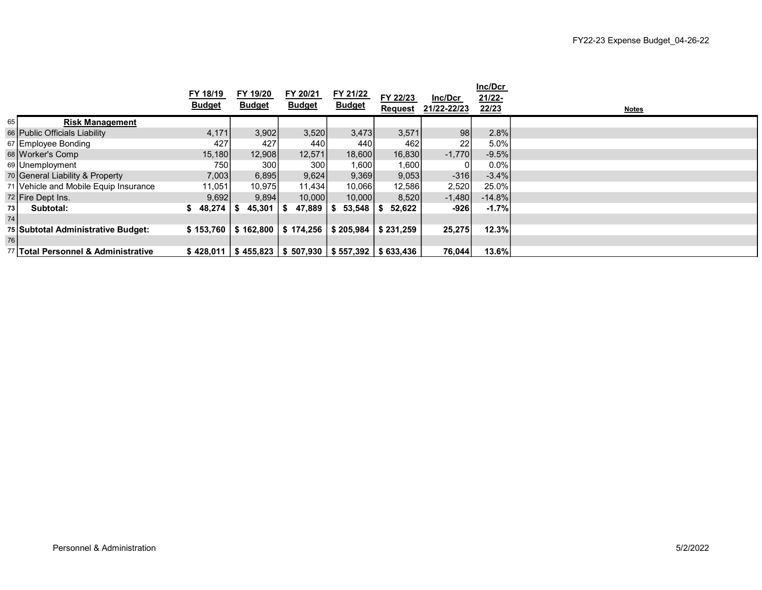|      |                                       | FY 18/19<br><b>Budget</b> | FY 19/20<br><b>Budget</b> | FY 20/21<br><b>Budget</b>                                  | FY 21/22<br><b>Budget</b> | FY 22/23<br><b>Request</b> | Inc/Dcr<br>21/22-22/23 | Inc/Dcr<br>21/22-<br>22/23 | <b>Notes</b> |
|------|---------------------------------------|---------------------------|---------------------------|------------------------------------------------------------|---------------------------|----------------------------|------------------------|----------------------------|--------------|
| 65   | <b>Risk Management</b>                |                           |                           |                                                            |                           |                            |                        |                            |              |
|      | 66 Public Officials Liability         | 4,171                     | 3,902                     | 3,520                                                      | 3,473                     | 3,571                      | 98                     | 2.8%                       |              |
|      | 67 Employee Bonding                   | 427                       | 427                       | 440 l                                                      | 440                       | 462                        | 22                     | $5.0\%$                    |              |
|      | 68 Worker's Comp                      | 15,180                    | 12,908                    | 12,571                                                     | 18,600                    | 16,830                     | $-1,770$               | $-9.5%$                    |              |
|      | 69 Unemployment                       | 750                       | 300                       | 300 <sup> </sup>                                           | 1,600 <sub>1</sub>        | 1,600                      |                        | $0.0\%$                    |              |
|      | 70 General Liability & Property       | 7,003                     | 6,895                     | 9,624                                                      | 9,369                     | 9,053                      | $-316$                 | $-3.4\%$                   |              |
|      | 71 Vehicle and Mobile Equip Insurance | 11,051                    | 10,975                    | 11,434                                                     | 10,066                    | 12,586                     | 2,520                  | 25.0%                      |              |
|      | 72 Fire Dept Ins.                     | 9,692                     | 9,894                     | 10,000                                                     | 10,000                    | 8,520                      | $-1,480$               | $-14.8%$                   |              |
| 73 I | Subtotal:                             | 48,274                    | 45,301                    | 47,889<br>- 56                                             | 53,548                    | 52,622                     | -926                   | $-1.7%$                    |              |
| 74   |                                       |                           |                           |                                                            |                           |                            |                        |                            |              |
|      | 75 Subtotal Administrative Budget:    | \$153,760                 | \$162,800                 | \$174,256                                                  | \$205,984                 | \$231,259                  | 25,275                 | 12.3%                      |              |
| 76   |                                       |                           |                           |                                                            |                           |                            |                        |                            |              |
|      | 77 Total Personnel & Administrative   |                           |                           | $$428,011$   \$455,823   \$507,930   \$557,392   \$633,436 |                           |                            | 76,044                 | 13.6%                      |              |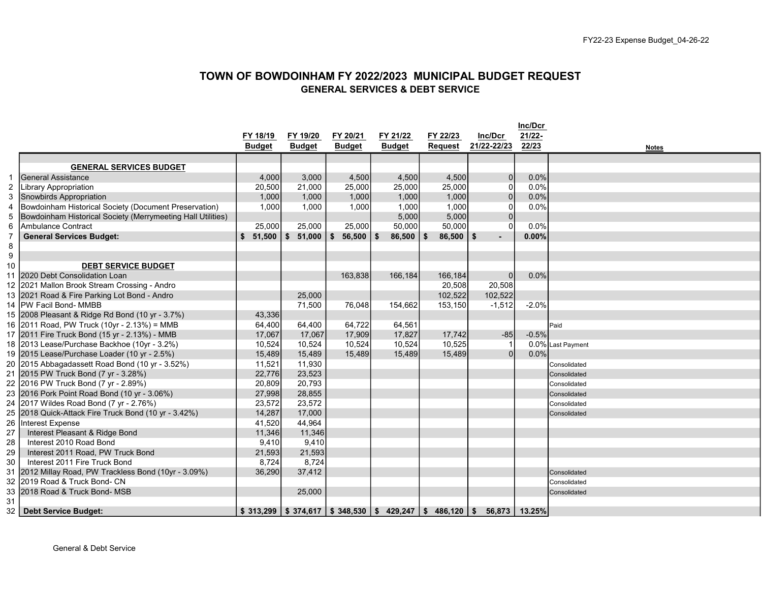#### TOWN OF BOWDOINHAM FY 2022/2023 MUNICIPAL BUDGET REQUEST GENERAL SERVICES & DEBT SERVICE

|                  |                                                             |               |                        |               |                                                        |                |              | Inc/Dcr |                   |
|------------------|-------------------------------------------------------------|---------------|------------------------|---------------|--------------------------------------------------------|----------------|--------------|---------|-------------------|
|                  |                                                             | FY 18/19      | FY 19/20               | FY 20/21      | FY 21/22                                               | FY 22/23       | Inc/Dcr      | 21/22-  |                   |
|                  |                                                             | <b>Budget</b> | <b>Budget</b>          | <b>Budget</b> | <b>Budget</b>                                          | <b>Request</b> | 21/22-22/23  | 22/23   | <b>Notes</b>      |
|                  |                                                             |               |                        |               |                                                        |                |              |         |                   |
|                  | <b>GENERAL SERVICES BUDGET</b>                              |               |                        |               |                                                        |                |              |         |                   |
|                  | lGeneral Assistance                                         | 4,000         | 3,000                  | 4,500         | 4,500                                                  | 4,500          | $\mathbf{0}$ | 0.0%    |                   |
| $\overline{c}$   | <b>Library Appropriation</b>                                | 20,500        | 21,000                 | 25,000        | 25,000                                                 | 25,000         | $\Omega$     | 0.0%    |                   |
| 3                | Snowbirds Appropriation                                     | 1,000         | 1,000                  | 1,000         | 1,000                                                  | 1,000          | $\mathbf{0}$ | 0.0%    |                   |
| $\overline{4}$   | Bowdoinham Historical Society (Document Preservation)       | 1,000         | 1,000                  | 1,000         | 1,000                                                  | 1,000          | $\Omega$     | 0.0%    |                   |
| 5                | Bowdoinham Historical Society (Merrymeeting Hall Utilities) |               |                        |               | 5,000                                                  | 5,000          | $\Omega$     |         |                   |
| 6                | Ambulance Contract                                          | 25,000        | 25,000                 | 25,000        | 50,000                                                 | 50,000         | $\Omega$     | 0.0%    |                   |
| $\overline{7}$   | <b>General Services Budget:</b>                             | $\mathbf{s}$  | $51,500$   \$ $51,000$ | 56,500<br>\$  | \$<br>$86,500$   \$                                    | $86,500$   \$  |              | 0.00%   |                   |
| 8                |                                                             |               |                        |               |                                                        |                |              |         |                   |
| $\boldsymbol{9}$ |                                                             |               |                        |               |                                                        |                |              |         |                   |
| 10               | <b>DEBT SERVICE BUDGET</b>                                  |               |                        |               |                                                        |                |              |         |                   |
| 11               | 2020 Debt Consolidation Loan                                |               |                        | 163,838       | 166,184                                                | 166,184        | $\Omega$     | 0.0%    |                   |
|                  | 12 2021 Mallon Brook Stream Crossing - Andro                |               |                        |               |                                                        | 20,508         | 20,508       |         |                   |
|                  | 13 2021 Road & Fire Parking Lot Bond - Andro                |               | 25,000                 |               |                                                        | 102,522        | 102,522      |         |                   |
|                  | 14 PW Facil Bond- MMBB                                      |               | 71,500                 | 76,048        | 154,662                                                | 153,150        | $-1,512$     | $-2.0%$ |                   |
|                  | 15 2008 Pleasant & Ridge Rd Bond (10 yr - 3.7%)             | 43,336        |                        |               |                                                        |                |              |         |                   |
|                  | 16 2011 Road, PW Truck (10yr - 2.13%) = MMB                 | 64,400        | 64,400                 | 64,722        | 64.561                                                 |                |              |         | Paid              |
|                  | 17 2011 Fire Truck Bond (15 yr - 2.13%) - MMB               | 17,067        | 17,067                 | 17,909        | 17,827                                                 | 17,742         | $-85$        | $-0.5%$ |                   |
|                  | 18 2013 Lease/Purchase Backhoe (10yr - 3.2%)                | 10,524        | 10,524                 | 10,524        | 10,524                                                 | 10,525         |              |         | 0.0% Last Payment |
|                  | 19 2015 Lease/Purchase Loader (10 yr - 2.5%)                | 15,489        | 15,489                 | 15.489        | 15,489                                                 | 15,489         | $\Omega$     | 0.0%    |                   |
|                  | 20 2015 Abbagadassett Road Bond (10 yr - 3.52%)             | 11,521        | 11,930                 |               |                                                        |                |              |         | Consolidated      |
|                  | 21 2015 PW Truck Bond (7 yr - 3.28%)                        | 22,776        | 23,523                 |               |                                                        |                |              |         | Consolidated      |
|                  | 22 2016 PW Truck Bond (7 yr - 2.89%)                        | 20,809        | 20,793                 |               |                                                        |                |              |         | Consolidated      |
|                  | 23 2016 Pork Point Road Bond (10 yr - 3.06%)                | 27,998        | 28,855                 |               |                                                        |                |              |         | Consolidated      |
|                  | 24 2017 Wildes Road Bond (7 yr - 2.76%)                     | 23,572        | 23,572                 |               |                                                        |                |              |         | Consolidated      |
| 25               | 2018 Quick-Attack Fire Truck Bond (10 yr - 3.42%)           | 14,287        | 17,000                 |               |                                                        |                |              |         | Consolidated      |
|                  | 26 Interest Expense                                         | 41,520        | 44,964                 |               |                                                        |                |              |         |                   |
| 27               | Interest Pleasant & Ridge Bond                              | 11,346        | 11,346                 |               |                                                        |                |              |         |                   |
| 28               | Interest 2010 Road Bond                                     | 9,410         | 9,410                  |               |                                                        |                |              |         |                   |
| 29               | Interest 2011 Road, PW Truck Bond                           | 21,593        | 21,593                 |               |                                                        |                |              |         |                   |
| 30               | Interest 2011 Fire Truck Bond                               | 8,724         | 8,724                  |               |                                                        |                |              |         |                   |
| 31               | 2012 Millay Road, PW Trackless Bond (10yr - 3.09%)          | 36,290        | 37,412                 |               |                                                        |                |              |         | Consolidated      |
|                  | 32 2019 Road & Truck Bond- CN                               |               |                        |               |                                                        |                |              |         | Consolidated      |
|                  | 33 2018 Road & Truck Bond- MSB                              |               | 25,000                 |               |                                                        |                |              |         | Consolidated      |
| 31               |                                                             |               |                        |               |                                                        |                |              |         |                   |
|                  | 32   Debt Service Budget:                                   |               |                        |               | $$313,299$ $$374,617$ $$348,530$ $$429,247$ $$486,120$ |                | 56,873<br>\$ | 13.25%  |                   |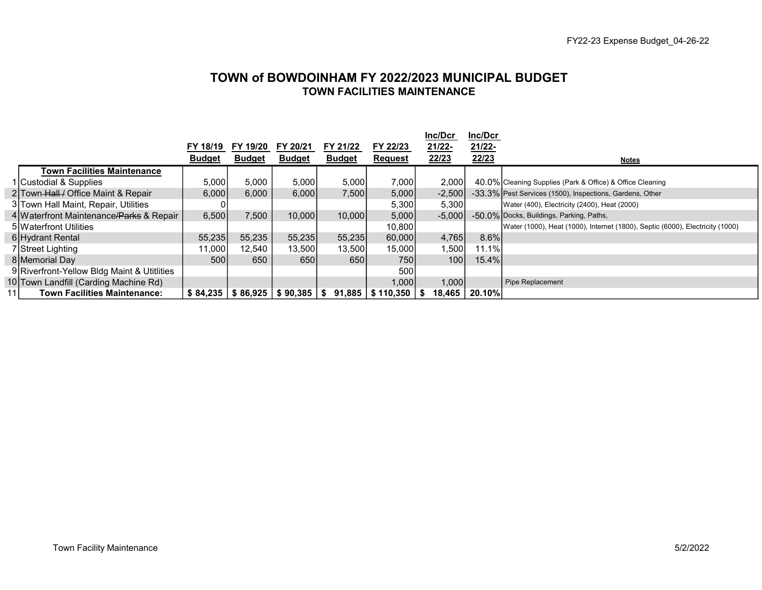## TOWN of BOWDOINHAM FY 2022/2023 MUNICIPAL BUDGET TOWN FACILITIES MAINTENANCE

|                                             |               |               |                                            |               |                           | Inc/Dcr  | Inc/Dcr |                                                                               |
|---------------------------------------------|---------------|---------------|--------------------------------------------|---------------|---------------------------|----------|---------|-------------------------------------------------------------------------------|
|                                             | FY 18/19      | FY 19/20      | FY 20/21                                   | FY 21/22      | FY 22/23                  | 21/22-   | 21/22-  |                                                                               |
|                                             | <b>Budget</b> | <b>Budget</b> | <b>Budget</b>                              | <b>Budget</b> | <b>Request</b>            | 22/23    | 22/23   | <b>Notes</b>                                                                  |
| Town Facilities Maintenance                 |               |               |                                            |               |                           |          |         |                                                                               |
| 1 Custodial & Supplies                      | 5,000         | 5,000         | 5,000                                      | 5,000         | 7,000                     | 2,000    |         | 40.0% Cleaning Supplies (Park & Office) & Office Cleaning                     |
| 2 Town Hall / Office Maint & Repair         | 6,000         | 6,000         | 6.000                                      | 7,500         | 5,000                     | $-2,500$ |         | -33.3% Pest Services (1500), Inspections, Gardens, Other                      |
| 3 Town Hall Maint, Repair, Utilities        |               |               |                                            |               | 5,300                     | 5,300    |         | Water (400), Electricity (2400), Heat (2000)                                  |
| 4 Waterfront Maintenance/Parks & Repair     | 6.500         | 7.500         | 10.000                                     | 10,000        | 5,000                     | $-5,000$ |         | -50.0% Docks, Buildings, Parking, Paths,                                      |
| 5 Waterfront Utilities                      |               |               |                                            |               | 10,800                    |          |         | Water (1000), Heat (1000), Internet (1800), Septic (6000), Electricity (1000) |
| 6 Hydrant Rental                            | 55,235        | 55,235        | 55,235                                     | 55,235        | 60,000                    | 4,765    | 8.6%    |                                                                               |
| 7 Street Lighting                           | 11,000        | 12,540        | 13,500                                     | 13,500        | 15,000                    | ا500. ا  | 11.1%   |                                                                               |
| 8 Memorial Day                              | 500           | 650           | 650                                        | 650           | 7501                      | 100      | 15.4%   |                                                                               |
| 9 Riverfront-Yellow Bldg Maint & Utitlities |               |               |                                            |               | 500                       |          |         |                                                                               |
| 10 Town Landfill (Carding Machine Rd)       |               |               |                                            |               | 1,000                     | 1,000    |         | Pipe Replacement                                                              |
| <b>Town Facilities Maintenance:</b>         |               |               | $$84,235 \mid $86,925 \mid $90,385 \mid $$ |               | $91,885$   \$110,350   \$ | 18,465   | 20.10%  |                                                                               |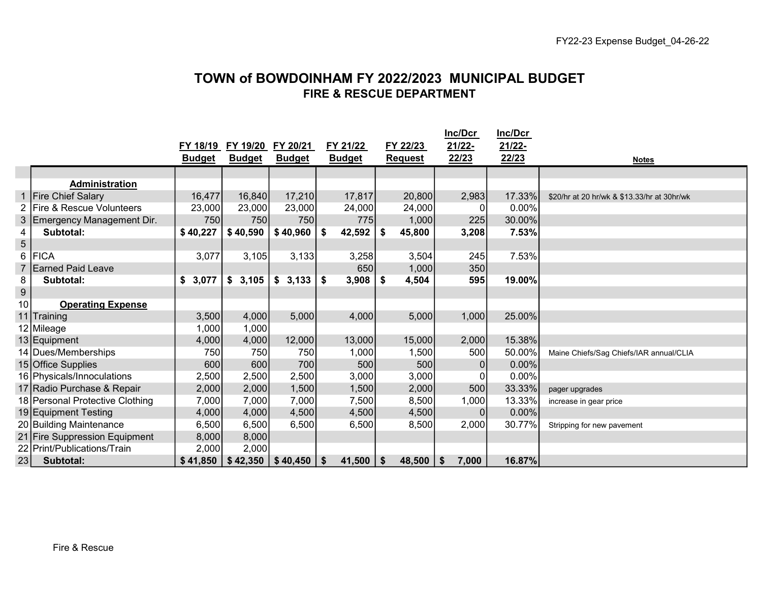# TOWN of BOWDOINHAM FY 2022/2023 MUNICIPAL BUDGET FIRE & RESCUE DEPARTMENT

|                  |                                 | FY 18/19      | FY 19/20      | FY 20/21      | FY 21/22      |    | FY 22/23       |     | Inc/Dcr<br>21/22- | Inc/Dcr<br>21/22- |                                             |
|------------------|---------------------------------|---------------|---------------|---------------|---------------|----|----------------|-----|-------------------|-------------------|---------------------------------------------|
|                  |                                 | <b>Budget</b> | <b>Budget</b> | <b>Budget</b> | <b>Budget</b> |    | <b>Request</b> |     | 22/23             | 22/23             | <b>Notes</b>                                |
|                  |                                 |               |               |               |               |    |                |     |                   |                   |                                             |
|                  | <b>Administration</b>           |               |               |               |               |    |                |     |                   |                   |                                             |
| $\mathbf{1}$     | <b>Fire Chief Salary</b>        | 16,477        | 16,840        | 17,210        | 17,817        |    | 20,800         |     | 2,983             | 17.33%            | \$20/hr at 20 hr/wk & \$13.33/hr at 30hr/wk |
|                  | 2 Fire & Rescue Volunteers      | 23,000        | 23,000        | 23,000        | 24,000        |    | 24,000         |     |                   | 0.00%             |                                             |
| 3                | Emergency Management Dir.       | 750           | 750           | 750           | 775           |    | 1,000          |     | 225               | 30.00%            |                                             |
| 4                | Subtotal:                       | \$40,227      | \$40,590      | \$40,960      | \$<br>42,592  | \$ | 45,800         |     | 3,208             | 7.53%             |                                             |
| 5                |                                 |               |               |               |               |    |                |     |                   |                   |                                             |
| 6                | <b>FICA</b>                     | 3,077         | 3,105         | 3,133         | 3,258         |    | 3,504          |     | 245               | 7.53%             |                                             |
| $\overline{7}$   | <b>Earned Paid Leave</b>        |               |               |               | 650           |    | 1,000          |     | 350               |                   |                                             |
| 8                | Subtotal:                       | 3,077<br>\$   | \$3,105       | \$3,133       | \$<br>3,908   | S. | 4,504          |     | 595               | 19.00%            |                                             |
| $\boldsymbol{9}$ |                                 |               |               |               |               |    |                |     |                   |                   |                                             |
| 10               | <b>Operating Expense</b>        |               |               |               |               |    |                |     |                   |                   |                                             |
|                  | 11 Training                     | 3,500         | 4,000         | 5,000         | 4,000         |    | 5,000          |     | 1,000             | 25.00%            |                                             |
|                  | 12 Mileage                      | 1,000         | 1,000         |               |               |    |                |     |                   |                   |                                             |
|                  | 13 Equipment                    | 4,000         | 4,000         | 12,000        | 13,000        |    | 15,000         |     | 2,000             | 15.38%            |                                             |
|                  | 14 Dues/Memberships             | 750           | 750           | 750           | 1,000         |    | 1,500          |     | 500               | 50.00%            | Maine Chiefs/Sag Chiefs/IAR annual/CLIA     |
|                  | 15 Office Supplies              | 600           | 600           | 700           | 500           |    | 500            |     | $\Omega$          | $0.00\%$          |                                             |
|                  | 16 Physicals/Innoculations      | 2,500         | 2,500         | 2,500         | 3,000         |    | 3,000          |     |                   | 0.00%             |                                             |
|                  | 17 Radio Purchase & Repair      | 2,000         | 2,000         | 1,500         | 1,500         |    | 2,000          |     | 500               | 33.33%            | pager upgrades                              |
|                  | 18 Personal Protective Clothing | 7,000         | 7,000         | 7,000         | 7,500         |    | 8,500          |     | 1,000             | 13.33%            | increase in gear price                      |
|                  | 19 Equipment Testing            | 4,000         | 4,000         | 4,500         | 4,500         |    | 4,500          |     | $\theta$          | $0.00\%$          |                                             |
|                  | 20 Building Maintenance         | 6,500         | 6,500         | 6,500         | 6,500         |    | 8,500          |     | 2,000             | 30.77%            | Stripping for new pavement                  |
|                  | 21 Fire Suppression Equipment   | 8,000         | 8,000         |               |               |    |                |     |                   |                   |                                             |
|                  | 22 Print/Publications/Train     | 2,000         | 2,000         |               |               |    |                |     |                   |                   |                                             |
| 23               | Subtotal:                       | \$41,850      | \$42,350      | \$40,450      | \$<br>41,500  | \$ | 48,500         | -\$ | 7,000             | 16.87%            |                                             |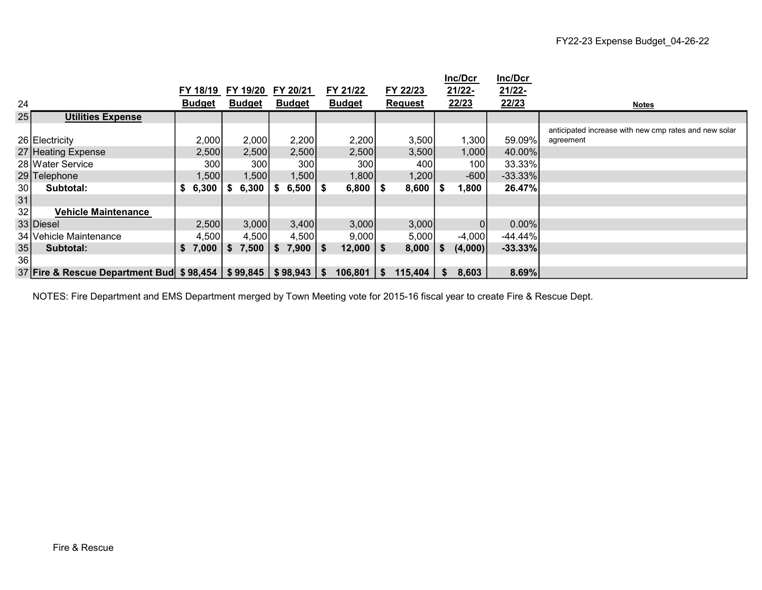|    |                                                     |               |      |               |               |      |               |          |                |      | Inc/Dcr        | Inc/Dcr    |                                                       |
|----|-----------------------------------------------------|---------------|------|---------------|---------------|------|---------------|----------|----------------|------|----------------|------------|-------------------------------------------------------|
|    |                                                     | FY 18/19      |      | FY 19/20      | FY 20/21      |      | FY 21/22      |          | FY 22/23       |      | 21/22-         | 21/22-     |                                                       |
| 24 |                                                     | <b>Budget</b> |      | <u>Budget</u> | <b>Budget</b> |      | <b>Budget</b> |          | <b>Request</b> |      | 22/23          | 22/23      | <b>Notes</b>                                          |
| 25 | <b>Utilities Expense</b>                            |               |      |               |               |      |               |          |                |      |                |            |                                                       |
|    |                                                     |               |      |               |               |      |               |          |                |      |                |            | anticipated increase with new cmp rates and new solar |
|    | 26 Electricity                                      | 2,000         |      | 2,000         | 2,200         |      | 2,200         |          | 3,500          |      | 1,300          | 59.09%     | agreement                                             |
|    | 27 Heating Expense                                  | 2,500         |      | 2,500         | 2,500         |      | 2,500         |          | 3,500          |      | 1,000          | 40.00%     |                                                       |
|    | 28 Water Service                                    | 300           |      | 300           | 300           |      | 300           |          | 400            |      | 100            | 33.33%     |                                                       |
|    | 29 Telephone                                        | 1,500         |      | 1,500         | 1,500         |      | 1,800         |          | 1,200          |      | $-600$         | $-33.33\%$ |                                                       |
| 30 | Subtotal:                                           | 6,300         |      | 6,300         | 6,500         | - \$ | 6,800         | - \$     | 8,600          |      | 1,800          | 26.47%     |                                                       |
| 31 |                                                     |               |      |               |               |      |               |          |                |      |                |            |                                                       |
| 32 | <b>Vehicle Maintenance</b>                          |               |      |               |               |      |               |          |                |      |                |            |                                                       |
|    | 33 Diesel                                           | 2,500         |      | 3,000         | 3,400         |      | 3,000         |          | 3,000          |      | $\overline{0}$ | $0.00\%$   |                                                       |
|    | 34 Vehicle Maintenance                              | 4,500         |      | 4,500         | 4,500         |      | 9,000         |          | 5,000          |      | $-4,000$       | $-44.44\%$ |                                                       |
| 35 | Subtotal:                                           | \$7,000       | - \$ | 7,500         | $7,900$   \$  |      | 12,000        | l \$     | $8,000$   \$   |      | (4,000)        | $-33.33%$  |                                                       |
| 36 |                                                     |               |      |               |               |      |               |          |                |      |                |            |                                                       |
|    | 37 Fire & Rescue Department Bud \$98,454   \$99,845 |               |      |               | \$98,943      | l Si | 106,801       | <b>S</b> | 115,404        | - 56 | 8,603          | 8.69%      |                                                       |

NOTES: Fire Department and EMS Department merged by Town Meeting vote for 2015-16 fiscal year to create Fire & Rescue Dept.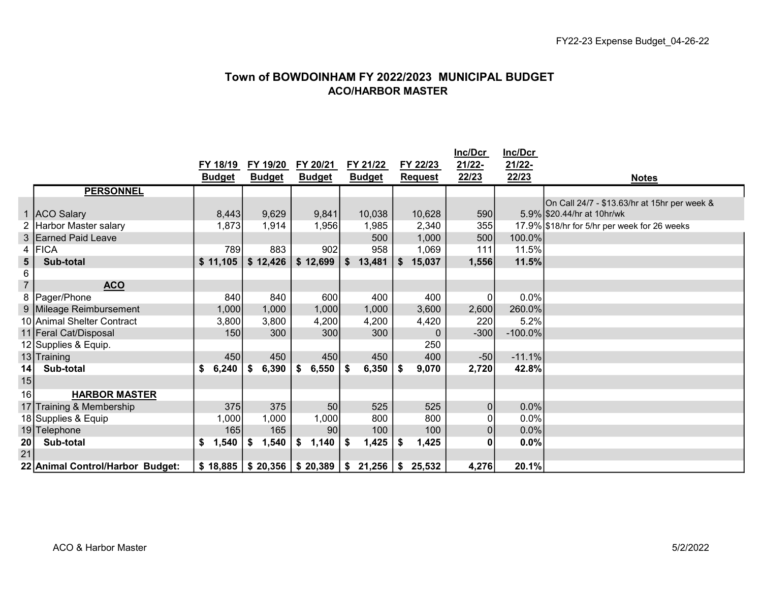# Town of BOWDOINHAM FY 2022/2023 MUNICIPAL BUDGET ACO/HARBOR MASTER

|                |                                  |               |               |               |               |                | Inc/Dcr        | Inc/Dcr    |                                              |
|----------------|----------------------------------|---------------|---------------|---------------|---------------|----------------|----------------|------------|----------------------------------------------|
|                |                                  | FY 18/19      | FY 19/20      | FY 20/21      | FY 21/22      | FY 22/23       | 21/22-         | 21/22-     |                                              |
|                |                                  | <b>Budget</b> | <b>Budget</b> | <b>Budget</b> | <b>Budget</b> | <b>Request</b> | 22/23          | 22/23      | <b>Notes</b>                                 |
|                | <b>PERSONNEL</b>                 |               |               |               |               |                |                |            |                                              |
|                |                                  |               |               |               |               |                |                |            | On Call 24/7 - \$13.63/hr at 15hr per week & |
| $\mathbf{1}$   | ACO Salary                       | 8,443         | 9,629         | 9,841         | 10,038        | 10,628         | 590            |            | 5.9% \$20.44/hr at 10hr/wk                   |
|                | 2 Harbor Master salary           | 1,873         | 1,914         | 1,956         | 1,985         | 2,340          | 355            |            | 17.9% \$18/hr for 5/hr per week for 26 weeks |
|                | 3 Earned Paid Leave              |               |               |               | 500           | 1,000          | 500            | 100.0%     |                                              |
|                | 4 FICA                           | 789           | 883           | 902           | 958           | 1,069          | 111            | 11.5%      |                                              |
| ${\bf 5}$      | Sub-total                        | \$11,105      | \$12,426      | \$12,699      | \$13,481      | \$<br>15,037   | 1,556          | 11.5%      |                                              |
| 6              |                                  |               |               |               |               |                |                |            |                                              |
| $\overline{7}$ | <b>ACO</b>                       |               |               |               |               |                |                |            |                                              |
|                | 8   Pager/Phone                  | 840           | 840           | 600           | 400           | 400            | $\mathbf 0$    | 0.0%       |                                              |
|                | 9 Mileage Reimbursement          | 1,000         | 1,000         | 1,000         | 1,000         | 3,600          | 2,600          | 260.0%     |                                              |
|                | 10 Animal Shelter Contract       | 3,800         | 3,800         | 4,200         | 4,200         | 4,420          | 220            | 5.2%       |                                              |
|                | 11 Feral Cat/Disposal            | 150           | 300           | 300           | 300           | $\mathbf 0$    | $-300$         | $-100.0\%$ |                                              |
|                | 12 Supplies & Equip.             |               |               |               |               | 250            |                |            |                                              |
|                | 13 Training                      | 450           | 450           | 450           | 450           | 400            | $-50$          | $-11.1%$   |                                              |
| 14             | Sub-total                        | \$<br>6,240   | 6,390<br>\$   | 6,550         | 6,350<br>\$   | \$<br>9,070    | 2,720          | 42.8%      |                                              |
| 15             |                                  |               |               |               |               |                |                |            |                                              |
| 16             | <b>HARBOR MASTER</b>             |               |               |               |               |                |                |            |                                              |
|                | 17 Training & Membership         | 375           | 375           | 50            | 525           | 525            | $\overline{0}$ | 0.0%       |                                              |
|                | 18 Supplies & Equip              | 1,000         | 1,000         | 1,000         | 800           | 800            | $\Omega$       | 0.0%       |                                              |
|                | 19 Telephone                     | 165           | 165           | 90            | 100           | 100            | $\pmb{0}$      | $0.0\%$    |                                              |
| 20             | Sub-total                        | ,540<br>\$    | 1,540<br>S    | 1,140         | 1,425         | 1,425<br>\$    | 0              | 0.0%       |                                              |
| 21             |                                  |               |               |               |               |                |                |            |                                              |
|                | 22 Animal Control/Harbor Budget: | \$18,885      | \$20,356      | \$20,389      | 21,256<br>\$  | 25,532<br>-\$  | 4,276          | 20.1%      |                                              |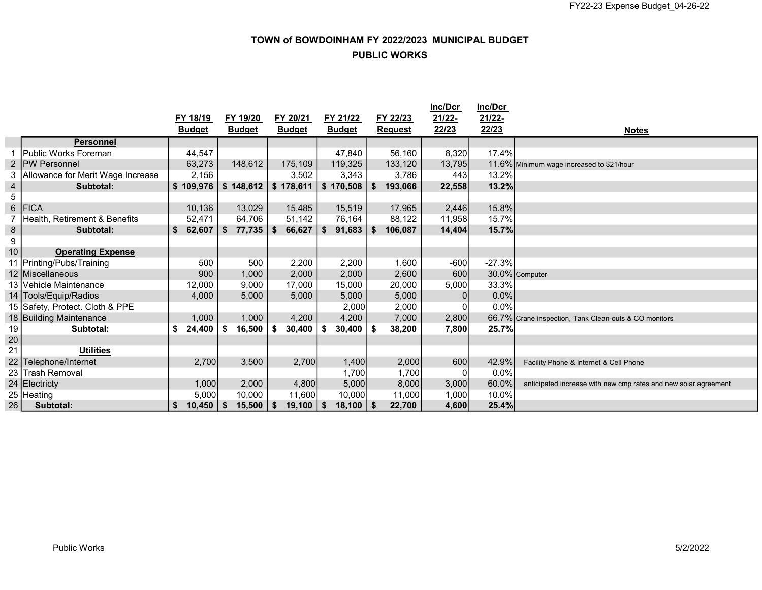# TOWN of BOWDOINHAM FY 2022/2023 MUNICIPAL BUDGET PUBLIC WORKS

|                  |                                   |               |                     |                       |               |                | <b>Inc/Dcr</b> | Inc/Dcr  |                                                                 |
|------------------|-----------------------------------|---------------|---------------------|-----------------------|---------------|----------------|----------------|----------|-----------------------------------------------------------------|
|                  |                                   | FY 18/19      | FY 19/20            | FY 20/21              | FY 21/22      | FY 22/23       | 21/22-         | 21/22-   |                                                                 |
|                  |                                   | <b>Budget</b> | <b>Budget</b>       | <b>Budget</b>         | <b>Budget</b> | <b>Request</b> | 22/23          | 22/23    | <b>Notes</b>                                                    |
|                  | <b>Personnel</b>                  |               |                     |                       |               |                |                |          |                                                                 |
|                  | lPublic Works Foreman             | 44,547        |                     |                       | 47,840        | 56,160         | 8,320          | 17.4%    |                                                                 |
| 2                | <b>IPW Personnel</b>              | 63,273        | 148,612             | 175,109               | 119,325       | 133,120        | 13,795         |          | 11.6% Minimum wage increased to \$21/hour                       |
| 3                | Allowance for Merit Wage Increase | 2,156         |                     | 3,502                 | 3,343         | 3,786          | 443            | 13.2%    |                                                                 |
| $\overline{4}$   | Subtotal:                         | \$109,976     | \$148,612           | $$178,611$ $$170,508$ |               | 193,066<br>\$  | 22,558         | 13.2%    |                                                                 |
| $5\phantom{.0}$  |                                   |               |                     |                       |               |                |                |          |                                                                 |
| $6\phantom{a}$   | <b>FICA</b>                       | 10,136        | 13,029              | 15,485                | 15,519        | 17,965         | 2,446          | 15.8%    |                                                                 |
| 7                | Health, Retirement & Benefits     | 52,471        | 64,706              | 51,142                | 76,164        | 88,122         | 11,958         | 15.7%    |                                                                 |
| $\bf 8$          | Subtotal:                         | 62,607<br>\$  | \$<br>$77,735$ \ \$ | 66,627                | \$<br>91,683  | \$<br>106,087  | 14,404         | 15.7%    |                                                                 |
| $\boldsymbol{9}$ |                                   |               |                     |                       |               |                |                |          |                                                                 |
| 10               | <b>Operating Expense</b>          |               |                     |                       |               |                |                |          |                                                                 |
|                  | 11 Printing/Pubs/Training         | 500           | 500                 | 2,200                 | 2,200         | 1,600          | $-600$         | $-27.3%$ |                                                                 |
|                  | 12 Miscellaneous                  | 900           | 1,000               | 2,000                 | 2,000         | 2,600          | 600            |          | 30.0% Computer                                                  |
|                  | 13 Vehicle Maintenance            | 12,000        | 9,000               | 17,000                | 15,000        | 20,000         | 5,000          | 33.3%    |                                                                 |
|                  | 14 Tools/Equip/Radios             | 4,000         | 5,000               | 5,000                 | 5,000         | 5,000          | $\vert$        | 0.0%     |                                                                 |
|                  | 15 Safety, Protect. Cloth & PPE   |               |                     |                       | 2,000         | 2,000          | $\Omega$       | 0.0%     |                                                                 |
|                  | 18 Building Maintenance           | 1,000         | 1,000               | 4,200                 | 4,200         | 7,000          | 2,800          |          | 66.7% Crane inspection, Tank Clean-outs & CO monitors           |
| 19               | Subtotal:                         | \$<br>24,400  | \$<br>16,500        | -\$<br>30,400         | \$<br>30,400  | 38,200         | 7,800          | 25.7%    |                                                                 |
| 20               |                                   |               |                     |                       |               |                |                |          |                                                                 |
| 21               | <b>Utilities</b>                  |               |                     |                       |               |                |                |          |                                                                 |
| 22               | Telephone/Internet                | 2,700         | 3,500               | 2,700                 | 1,400         | 2,000          | 600            | 42.9%    | Facility Phone & Internet & Cell Phone                          |
|                  | 23 Trash Removal                  |               |                     |                       | 1,700         | 1,700          | 0              | 0.0%     |                                                                 |
|                  | 24 Electricty                     | 1,000         | 2,000               | 4,800                 | 5,000         | 8,000          | 3,000          | 60.0%    | anticipated increase with new cmp rates and new solar agreement |
|                  | 25 Heating                        | 5,000         | 10,000              | 11,600                | 10,000        | 11,000         | 1,000          | 10.0%    |                                                                 |
| 26               | Subtotal:                         | 10,450        | 15,500<br>- \$      | $19,100$   \$<br>- \$ | 18,100        | 22,700         | 4,600          | 25.4%    |                                                                 |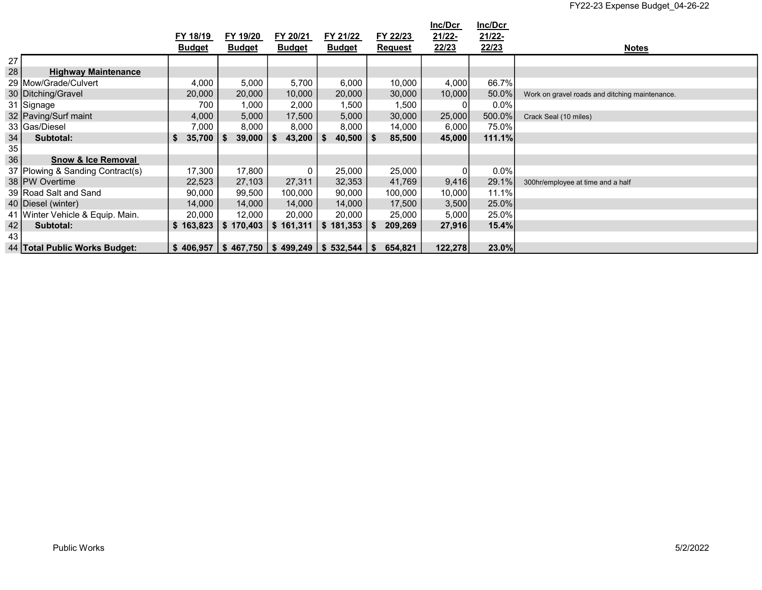|    |                                  |               |               |                                                     |               |                | Inc/Dcr | Inc/Dcr |                                                |
|----|----------------------------------|---------------|---------------|-----------------------------------------------------|---------------|----------------|---------|---------|------------------------------------------------|
|    |                                  | FY 18/19      | FY 19/20      | FY 20/21                                            | FY 21/22      | FY 22/23       | 21/22-  | 21/22-  |                                                |
|    |                                  | <b>Budget</b> | <b>Budget</b> | <b>Budget</b>                                       | <b>Budget</b> | <b>Request</b> | 22/23   | 22/23   | <b>Notes</b>                                   |
| 27 |                                  |               |               |                                                     |               |                |         |         |                                                |
| 28 | <b>Highway Maintenance</b>       |               |               |                                                     |               |                |         |         |                                                |
|    | 29 Mow/Grade/Culvert             | 4,000         | 5,000         | 5,700                                               | 6,000         | 10,000         | 4,000   | 66.7%   |                                                |
|    | 30   Ditching/Gravel             | 20,000        | 20,000        | 10,000                                              | 20,000        | 30,000         | 10,000  | 50.0%   | Work on gravel roads and ditching maintenance. |
|    | 31 Signage                       | 700           | 1,000         | 2,000                                               | 1,500         | 1,500          | 0       | $0.0\%$ |                                                |
|    | 32 Paving/Surf maint             | 4,000         | 5,000         | 17,500                                              | 5,000         | 30,000         | 25,000  | 500.0%  | Crack Seal (10 miles)                          |
|    | 33 Gas/Diesel                    | 7,000         | 8,000         | 8,000                                               | 8,000         | 14,000         | 6,000   | 75.0%   |                                                |
| 34 | Subtotal:                        | 35,700        | 39,000<br>- 5 | 43,200                                              | $40,500$   \$ | 85,500         | 45,000  | 111.1%  |                                                |
| 35 |                                  |               |               |                                                     |               |                |         |         |                                                |
| 36 | <b>Snow &amp; Ice Removal</b>    |               |               |                                                     |               |                |         |         |                                                |
|    | 37 Plowing & Sanding Contract(s) | 17,300        | 17,800        | 0                                                   | 25,000        | 25,000         | 01      | $0.0\%$ |                                                |
|    | 38 PW Overtime                   | 22,523        | 27,103        | 27,311                                              | 32,353        | 41,769         | 9,416   | 29.1%   | 300hr/employee at time and a half              |
|    | 39 Road Salt and Sand            | 90,000        | 99,500        | 100,000                                             | 90,000        | 100,000        | 10,000  | 11.1%   |                                                |
|    | 40   Diesel (winter)             | 14,000        | 14,000        | 14,000                                              | 14,000        | 17,500         | 3,500   | 25.0%   |                                                |
|    | 41 Winter Vehicle & Equip. Main. | 20,000        | 12,000        | 20,000                                              | 20,000        | 25,000         | 5,000   | 25.0%   |                                                |
| 42 | Subtotal:                        | \$163,823     | \$170,403     | 161,311<br>\$                                       | 181,353<br>\$ | 209,269        | 27,916  | 15.4%   |                                                |
| 43 |                                  |               |               |                                                     |               |                |         |         |                                                |
|    | 44   Total Public Works Budget:  |               |               | $$406,957$   \$467,750   \$499,249   \$532,544   \$ |               | 654,821        | 122,278 | 23.0%   |                                                |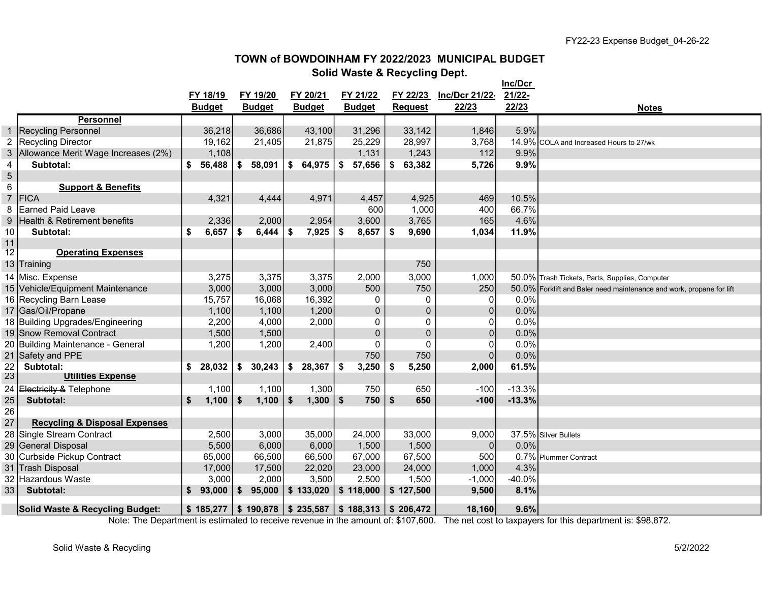#### TOWN of BOWDOINHAM FY 2022/2023 MUNICIPAL BUDGET Solid Waste & Recycling Dept.

|                         |                                            |               |                                                        |    |               |     |                |                |                | Inc/Dcr  |                                                                      |
|-------------------------|--------------------------------------------|---------------|--------------------------------------------------------|----|---------------|-----|----------------|----------------|----------------|----------|----------------------------------------------------------------------|
|                         |                                            | FY 18/19      | FY 19/20                                               |    | FY 20/21      |     | FY 21/22       | FY 22/23       | Inc/Dcr 21/22- | 21/22-   |                                                                      |
|                         |                                            | <b>Budget</b> | <b>Budget</b>                                          |    | <b>Budget</b> |     | <b>Budget</b>  | <b>Request</b> | 22/23          | 22/23    | <b>Notes</b>                                                         |
|                         | <b>Personnel</b>                           |               |                                                        |    |               |     |                |                |                |          |                                                                      |
| $\mathbf 1$             | <b>Recycling Personnel</b>                 | 36,218        | 36,686                                                 |    | 43,100        |     | 31,296         | 33,142         | 1,846          | 5.9%     |                                                                      |
| $\overline{2}$          | Recycling Director                         | 19,162        | 21,405                                                 |    | 21,875        |     | 25,229         | 28,997         | 3,768          |          | 14.9% COLA and Increased Hours to 27/wk                              |
| 3                       | Allowance Merit Wage Increases (2%)        | 1,108         |                                                        |    |               |     | 1,131          | 1,243          | 112            | 9.9%     |                                                                      |
| $\overline{\mathbf{4}}$ | Subtotal:                                  | 56,488        | \$<br>58,091                                           | \$ | 64,975        | \$  | 57,656         | \$<br>63,382   | 5,726          | 9.9%     |                                                                      |
| $\sqrt{5}$              |                                            |               |                                                        |    |               |     |                |                |                |          |                                                                      |
| 6                       | <b>Support &amp; Benefits</b>              |               |                                                        |    |               |     |                |                |                |          |                                                                      |
| $\overline{7}$          | <b>FICA</b>                                | 4,321         | 4,444                                                  |    | 4,971         |     | 4,457          | 4,925          | 469            | 10.5%    |                                                                      |
| 8                       | Earned Paid Leave                          |               |                                                        |    |               |     | 600            | 1,000          | 400            | 66.7%    |                                                                      |
| 9                       | Health & Retirement benefits               | 2,336         | 2,000                                                  |    | 2,954         |     | 3,600          | 3,765          | 165            | 4.6%     |                                                                      |
| 10                      | Subtotal:                                  | \$<br>6,657   | \$<br>6,444                                            | \$ | 7,925         | \$  | 8,657          | \$<br>9,690    | 1,034          | 11.9%    |                                                                      |
| 11                      |                                            |               |                                                        |    |               |     |                |                |                |          |                                                                      |
| 12                      | <b>Operating Expenses</b>                  |               |                                                        |    |               |     |                |                |                |          |                                                                      |
|                         | 13 Training                                |               |                                                        |    |               |     |                | 750            |                |          |                                                                      |
|                         | 14 Misc. Expense                           | 3,275         | 3,375                                                  |    | 3,375         |     | 2,000          | 3,000          | 1,000          |          | 50.0% Trash Tickets, Parts, Supplies, Computer                       |
|                         | 15 Vehicle/Equipment Maintenance           | 3,000         | 3,000                                                  |    | 3,000         |     | 500            | 750            | 250            |          | 50.0% Forklift and Baler need maintenance and work, propane for lift |
|                         | 16 Recycling Barn Lease                    | 15,757        | 16,068                                                 |    | 16,392        |     | 0              | 0              | $\overline{0}$ | 0.0%     |                                                                      |
|                         | 17 Gas/Oil/Propane                         | 1,100         | 1,100                                                  |    | 1,200         |     | $\pmb{0}$      | 0              | 0              | 0.0%     |                                                                      |
|                         | 18 Building Upgrades/Engineering           | 2,200         | 4,000                                                  |    | 2,000         |     | 0              | 0              | 01             | 0.0%     |                                                                      |
|                         | 19 Snow Removal Contract                   | 1,500         | 1,500                                                  |    |               |     | $\overline{0}$ | 0              | 0              | 0.0%     |                                                                      |
|                         | 20 Building Maintenance - General          | 1,200         | 1,200                                                  |    | 2,400         |     | 0              | 0              | 0              | 0.0%     |                                                                      |
|                         | 21 Safety and PPE                          |               |                                                        |    |               |     | 750            | 750            | $\Omega$       | 0.0%     |                                                                      |
| 22                      | Subtotal:                                  | \$<br>28,032  | \$<br>30,243                                           | \$ | 28,367        | -\$ | 3,250          | \$<br>5,250    | 2,000          | 61.5%    |                                                                      |
| 23                      | <b>Utilities Expense</b>                   |               |                                                        |    |               |     |                |                |                |          |                                                                      |
| 24                      | Electricity & Telephone                    | 1,100         | 1,100                                                  |    | 1,300         |     | 750            | 650            | $-100$         | $-13.3%$ |                                                                      |
| 25                      | Subtotal:                                  | \$<br>1,100   | \$<br>1,100                                            | Ŝ. | 1,300         | \$  | 750            | \$<br>650      | $-100$         | $-13.3%$ |                                                                      |
| 26                      |                                            |               |                                                        |    |               |     |                |                |                |          |                                                                      |
| 27                      | <b>Recycling &amp; Disposal Expenses</b>   |               |                                                        |    |               |     |                |                |                |          |                                                                      |
| 28                      | Single Stream Contract                     | 2,500         | 3,000                                                  |    | 35,000        |     | 24,000         | 33,000         | 9,000          |          | 37.5% Silver Bullets                                                 |
| 29                      | <b>General Disposal</b>                    | 5,500         | 6,000                                                  |    | 6,000         |     | 1,500          | 1,500          | $\Omega$       | 0.0%     |                                                                      |
| 30                      | Curbside Pickup Contract                   | 65,000        | 66,500                                                 |    | 66,500        |     | 67,000         | 67,500         | 500            |          | 0.7% Plummer Contract                                                |
| 31                      | <b>Trash Disposal</b>                      | 17,000        | 17,500                                                 |    | 22,020        |     | 23,000         | 24,000         | 1,000          | 4.3%     |                                                                      |
| 32                      | Hazardous Waste                            | 3,000         | 2,000                                                  |    | 3,500         |     | 2,500          | 1,500          | $-1,000$       | $-40.0%$ |                                                                      |
| 33                      | Subtotal:                                  | \$<br>93,000  | \$<br>95,000                                           |    | \$133,020     |     | \$118,000      | \$127,500      | 9,500          | 8.1%     |                                                                      |
|                         | <b>Solid Waste &amp; Recycling Budget:</b> |               | $$185,277$ $$190,878$ $$235,587$ $$188,313$ $$206,472$ |    |               |     |                |                | 18,160         | 9.6%     |                                                                      |

Note: The Department is estimated to receive revenue in the amount of: \$107,600. The net cost to taxpayers for this department is: \$98,872.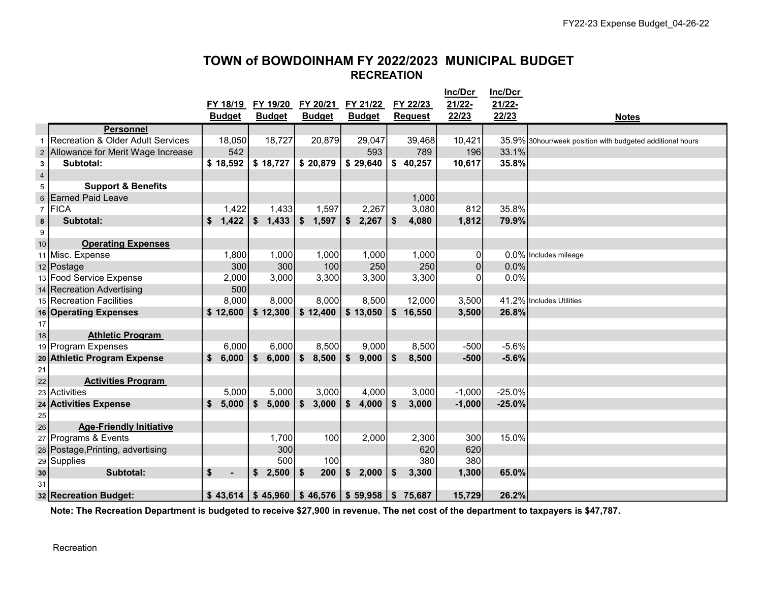# TOWN of BOWDOINHAM FY 2022/2023 MUNICIPAL BUDGET RECREATION

|                         |                                   |                      |               |               |               |                | Inc/Dcr  | Inc/Dcr  |                                                           |
|-------------------------|-----------------------------------|----------------------|---------------|---------------|---------------|----------------|----------|----------|-----------------------------------------------------------|
|                         |                                   | FY 18/19             | FY 19/20      | FY 20/21      | FY 21/22      | FY 22/23       | 21/22-   | 21/22-   |                                                           |
|                         |                                   | <b>Budget</b>        | <b>Budget</b> | <b>Budget</b> | <b>Budget</b> | <b>Request</b> | 22/23    | 22/23    | <b>Notes</b>                                              |
|                         | <b>Personnel</b>                  |                      |               |               |               |                |          |          |                                                           |
| 1                       | Recreation & Older Adult Services | 18,050               | 18,727        | 20,879        | 29,047        | 39,468         | 10,421   |          | 35.9% 30hour/week position with budgeted additional hours |
| $\overline{\mathbf{c}}$ | Allowance for Merit Wage Increase | 542                  |               |               | 593           | 789            | 196      | 33.1%    |                                                           |
| 3                       | Subtotal:                         | \$18,592             | \$18,727      | \$20,879      | \$29,640      | \$40,257       | 10,617   | 35.8%    |                                                           |
| $\overline{4}$          |                                   |                      |               |               |               |                |          |          |                                                           |
| 5                       | <b>Support &amp; Benefits</b>     |                      |               |               |               |                |          |          |                                                           |
| 6                       | <b>Earned Paid Leave</b>          |                      |               |               |               | 1,000          |          |          |                                                           |
| $\overline{7}$          | FICA                              | 1,422                | 1,433         | 1,597         | 2,267         | 3,080          | 812      | 35.8%    |                                                           |
| 8                       | Subtotal:                         | \$<br>1,422          | \$<br>1,433   | \$<br>1,597   | \$<br>2,267   | \$<br>4,080    | 1,812    | 79.9%    |                                                           |
| 9                       |                                   |                      |               |               |               |                |          |          |                                                           |
| 10                      | <b>Operating Expenses</b>         |                      |               |               |               |                |          |          |                                                           |
|                         | 11 Misc. Expense                  | 1,800                | 1,000         | 1,000         | 1,000         | 1,000          | 0        |          | 0.0% Includes mileage                                     |
|                         | 12 Postage                        | 300                  | 300           | 100           | 250           | 250            | $\Omega$ | 0.0%     |                                                           |
|                         | 13 Food Service Expense           | 2,000                | 3,000         | 3,300         | 3,300         | 3,300          | O        | 0.0%     |                                                           |
|                         | 14 Recreation Advertising         | 500                  |               |               |               |                |          |          |                                                           |
|                         | 15 Recreation Facilities          | 8,000                | 8,000         | 8,000         | 8,500         | 12,000         | 3,500    |          | 41.2% Includes Utilities                                  |
|                         | 16 Operating Expenses             | \$12,600             | \$12,300      | \$12,400      | \$13,050      | \$<br>16,550   | 3,500    | 26.8%    |                                                           |
| 17                      |                                   |                      |               |               |               |                |          |          |                                                           |
| 18                      | <b>Athletic Program</b>           |                      |               |               |               |                |          |          |                                                           |
|                         | 19 Program Expenses               | 6,000                | 6,000         | 8,500         | 9,000         | 8,500          | $-500$   | $-5.6%$  |                                                           |
|                         | 20 Athletic Program Expense       | \$<br>6,000          | 6,000<br>\$   | \$<br>8,500   | \$<br>9,000   | \$<br>8,500    | $-500$   | $-5.6%$  |                                                           |
| 21                      |                                   |                      |               |               |               |                |          |          |                                                           |
| 22                      | <b>Activities Program</b>         |                      |               |               |               |                |          |          |                                                           |
| 23                      | Activities                        | 5,000                | 5,000         | 3,000         | 4,000         | 3,000          | $-1,000$ | $-25.0%$ |                                                           |
|                         | 24 Activities Expense             | \$<br>5,000          | \$<br>5,000   | \$<br>3,000   | \$<br>4,000   | \$<br>3,000    | $-1,000$ | $-25.0%$ |                                                           |
| 25                      |                                   |                      |               |               |               |                |          |          |                                                           |
| 26                      | <b>Age-Friendly Initiative</b>    |                      |               |               |               |                |          |          |                                                           |
| 27                      | Programs & Events                 |                      | 1,700         | 100           | 2,000         | 2,300          | 300      | 15.0%    |                                                           |
|                         | 28 Postage, Printing, advertising |                      | 300           |               |               | 620            | 620      |          |                                                           |
| 29                      | Supplies                          |                      | 500           | 100           |               | 380            | 380      |          |                                                           |
| $\bf{30}$               | Subtotal:                         | \$<br>$\blacksquare$ | \$<br>2,500   | \$<br>200     | \$<br>2,000   | \$<br>3,300    | 1,300    | 65.0%    |                                                           |
| 31                      |                                   |                      |               |               |               |                |          |          |                                                           |
|                         | 32 Recreation Budget:             | \$43,614             | \$45,960      | \$46,576      | \$59,958      | \$<br>75,687   | 15,729   | 26.2%    |                                                           |

Note: The Recreation Department is budgeted to receive \$27,900 in revenue. The net cost of the department to taxpayers is \$47,787.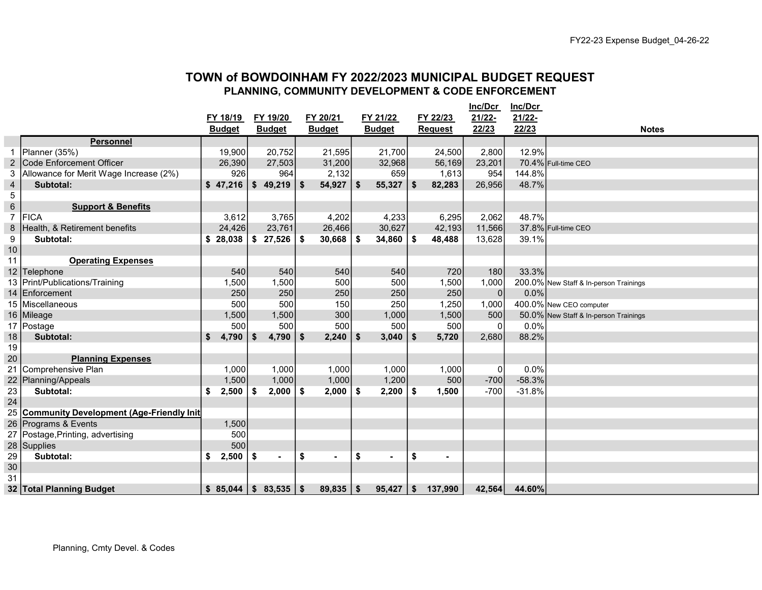## TOWN of BOWDOINHAM FY 2022/2023 MUNICIPAL BUDGET REQUEST PLANNING, COMMUNITY DEVELOPMENT & CODE ENFORCEMENT

|                |                                                 |               |      |                |            |               |     |                |      |                | Inc/Dcr        | Inc/Dcr   |                                        |
|----------------|-------------------------------------------------|---------------|------|----------------|------------|---------------|-----|----------------|------|----------------|----------------|-----------|----------------------------------------|
|                |                                                 | FY 18/19      |      | FY 19/20       |            | FY 20/21      |     | FY 21/22       |      | FY 22/23       | $21/22 -$      | $21/22 -$ |                                        |
|                |                                                 | <b>Budget</b> |      | <b>Budget</b>  |            | <b>Budget</b> |     | <b>Budget</b>  |      | <b>Request</b> | 22/23          | 22/23     | <b>Notes</b>                           |
|                | <b>Personnel</b>                                |               |      |                |            |               |     |                |      |                |                |           |                                        |
|                | Planner (35%)                                   | 19,900        |      | 20,752         |            | 21,595        |     | 21,700         |      | 24,500         | 2,800          | 12.9%     |                                        |
| $\overline{2}$ | Code Enforcement Officer                        | 26,390        |      | 27,503         |            | 31,200        |     | 32,968         |      | 56,169         | 23,201         |           | 70.4% Full-time CEO                    |
| 3              | Allowance for Merit Wage Increase (2%)          | 926           |      | 964            |            | 2,132         |     | 659            |      | 1,613          | 954            | 144.8%    |                                        |
| $\overline{4}$ | Subtotal:                                       | \$47,216      | \$   | 49,219         | $\vert$ \$ | 54,927        | \$  | 55,327         | \$   | 82,283         | 26,956         | 48.7%     |                                        |
| 5              |                                                 |               |      |                |            |               |     |                |      |                |                |           |                                        |
| $\,6\,$        | <b>Support &amp; Benefits</b>                   |               |      |                |            |               |     |                |      |                |                |           |                                        |
| $\overline{7}$ | <b>FICA</b>                                     | 3,612         |      | 3,765          |            | 4,202         |     | 4,233          |      | 6,295          | 2,062          | 48.7%     |                                        |
| $\,8\,$        | Health, & Retirement benefits                   | 24,426        |      | 23,761         |            | 26,466        |     | 30,627         |      | 42,193         | 11,566         |           | 37.8% Full-time CEO                    |
| 9              | Subtotal:                                       | \$28,038      | \$   | 27,526         | -\$        | 30,668        | \$  | 34,860         | - \$ | 48,488         | 13,628         | 39.1%     |                                        |
| 10             |                                                 |               |      |                |            |               |     |                |      |                |                |           |                                        |
| 11             | <b>Operating Expenses</b>                       |               |      |                |            |               |     |                |      |                |                |           |                                        |
| 12             | Telephone                                       | 540           |      | 540            |            | 540           |     | 540            |      | 720            | 180            | 33.3%     |                                        |
| 13             | Print/Publications/Training                     | 1,500         |      | 1,500          |            | 500           |     | 500            |      | 1,500          | 1,000          |           | 200.0% New Staff & In-person Trainings |
| 14             | Enforcement                                     | 250           |      | 250            |            | 250           |     | 250            |      | 250            | $\overline{0}$ | 0.0%      |                                        |
| 15             | Miscellaneous                                   | 500           |      | 500            |            | 150           |     | 250            |      | 1,250          | 1,000          |           | 400.0% New CEO computer                |
| 16             | Mileage                                         | 1,500         |      | 1,500          |            | 300           |     | 1,000          |      | 1,500          | 500            |           | 50.0% New Staff & In-person Trainings  |
| 17             | Postage                                         | 500           |      | 500            |            | 500           |     | 500            |      | 500            | $\Omega$       | 0.0%      |                                        |
| 18             | Subtotal:                                       | \$<br>4,790   | - \$ | $4,790$ \ \$   |            | 2,240         | \$  | 3,040          | \$   | 5,720          | 2,680          | 88.2%     |                                        |
| 19             |                                                 |               |      |                |            |               |     |                |      |                |                |           |                                        |
| 20             | <b>Planning Expenses</b>                        |               |      |                |            |               |     |                |      |                |                |           |                                        |
| 21             | Comprehensive Plan                              | 1,000         |      | 1,000          |            | 1,000         |     | 1,000          |      | 1,000          | 0              | 0.0%      |                                        |
| 22             | Planning/Appeals                                | 1,500         |      | 1,000          |            | 1,000         |     | 1,200          |      | 500            | $-700$         | $-58.3%$  |                                        |
| 23             | Subtotal:                                       | \$<br>2,500   | \$   | $2,000$   \$   |            | 2,000         | -\$ | $2,200$   \$   |      | 1,500          | $-700$         | $-31.8%$  |                                        |
| 24             |                                                 |               |      |                |            |               |     |                |      |                |                |           |                                        |
| 25             | <b>Community Development (Age-Friendly Init</b> |               |      |                |            |               |     |                |      |                |                |           |                                        |
| 26             | Programs & Events                               | 1,500         |      |                |            |               |     |                |      |                |                |           |                                        |
| 27             | Postage, Printing, advertising                  | 500           |      |                |            |               |     |                |      |                |                |           |                                        |
| 28             | Supplies                                        | 500           |      |                |            |               |     |                |      |                |                |           |                                        |
| 29             | Subtotal:                                       | \$<br>2,500   | \$   | $\blacksquare$ | \$         |               | \$  | $\blacksquare$ | \$   | $\blacksquare$ |                |           |                                        |
| 30             |                                                 |               |      |                |            |               |     |                |      |                |                |           |                                        |
| 31             |                                                 |               |      |                |            |               |     |                |      |                |                |           |                                        |
|                | 32 Total Planning Budget                        | \$85,044      |      |                |            | 89,835        | \$  | 95,427         | \$   | 137,990        | 42,564         | 44.60%    |                                        |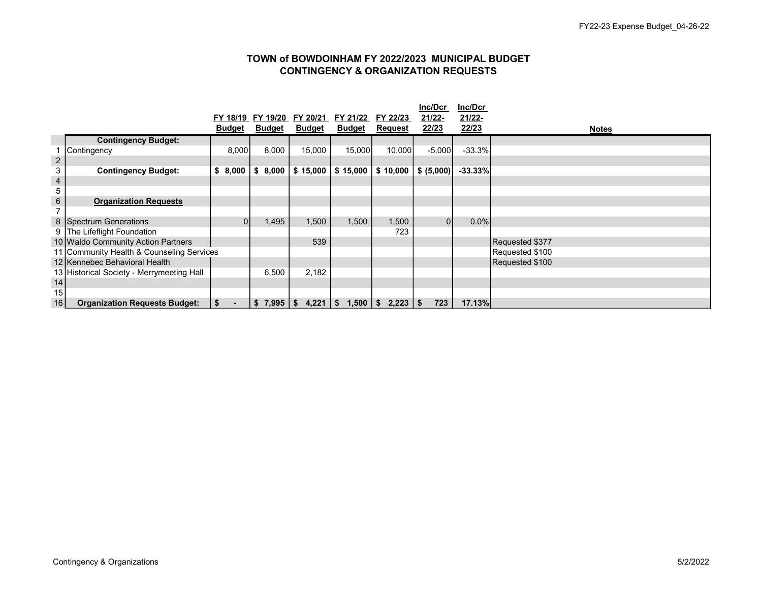#### TOWN of BOWDOINHAM FY 2022/2023 MUNICIPAL BUDGET CONTINGENCY & ORGANIZATION REQUESTS

|                         |                                           |               |               |               |                    |                | Inc/Dcr    | Inc/Dcr   |                 |
|-------------------------|-------------------------------------------|---------------|---------------|---------------|--------------------|----------------|------------|-----------|-----------------|
|                         |                                           | FY 18/19      | FY 19/20      | FY 20/21      | FY 21/22           | FY 22/23       | 21/22-     | 21/22-    |                 |
|                         |                                           | <b>Budget</b> | <b>Budget</b> | <b>Budget</b> | <b>Budget</b>      | <b>Request</b> | 22/23      | 22/23     | <b>Notes</b>    |
|                         | <b>Contingency Budget:</b>                |               |               |               |                    |                |            |           |                 |
|                         | Contingency                               | 8,000         | 8,000         | 15,000        | 15,000             | 10,000         | $-5,000$   | $-33.3%$  |                 |
| $\overline{\mathbf{c}}$ |                                           |               |               |               |                    |                |            |           |                 |
| 3                       | <b>Contingency Budget:</b>                | \$8,000       | 8,000<br>S.   | \$15,000      | \$15,000           | \$10,000       | \$ (5,000) | $-33.33%$ |                 |
| 4                       |                                           |               |               |               |                    |                |            |           |                 |
| 5                       |                                           |               |               |               |                    |                |            |           |                 |
| 6                       | <b>Organization Requests</b>              |               |               |               |                    |                |            |           |                 |
|                         |                                           |               |               |               |                    |                |            |           |                 |
|                         | 8 Spectrum Generations                    |               | 1,495         | 1,500         | 1,500              | 1,500          | 01         | $0.0\%$   |                 |
|                         | 9 The Lifeflight Foundation               |               |               |               |                    | 723            |            |           |                 |
|                         | 10 Waldo Community Action Partners        |               |               | 539           |                    |                |            |           | Requested \$377 |
|                         | 11 Community Health & Counseling Services |               |               |               |                    |                |            |           | Requested \$100 |
|                         | 12 Kennebec Behavioral Health             |               |               |               |                    |                |            |           | Requested \$100 |
|                         | 13 Historical Society - Merrymeeting Hall |               | 6,500         | 2,182         |                    |                |            |           |                 |
| 14                      |                                           |               |               |               |                    |                |            |           |                 |
| 15                      |                                           |               |               |               |                    |                |            |           |                 |
| 16                      | <b>Organization Requests Budget:</b>      | -\$           | \$<br>7,995   | 4,221<br>\$   | $1,500$   \$<br>\$ |                | 723        | 17.13%    |                 |